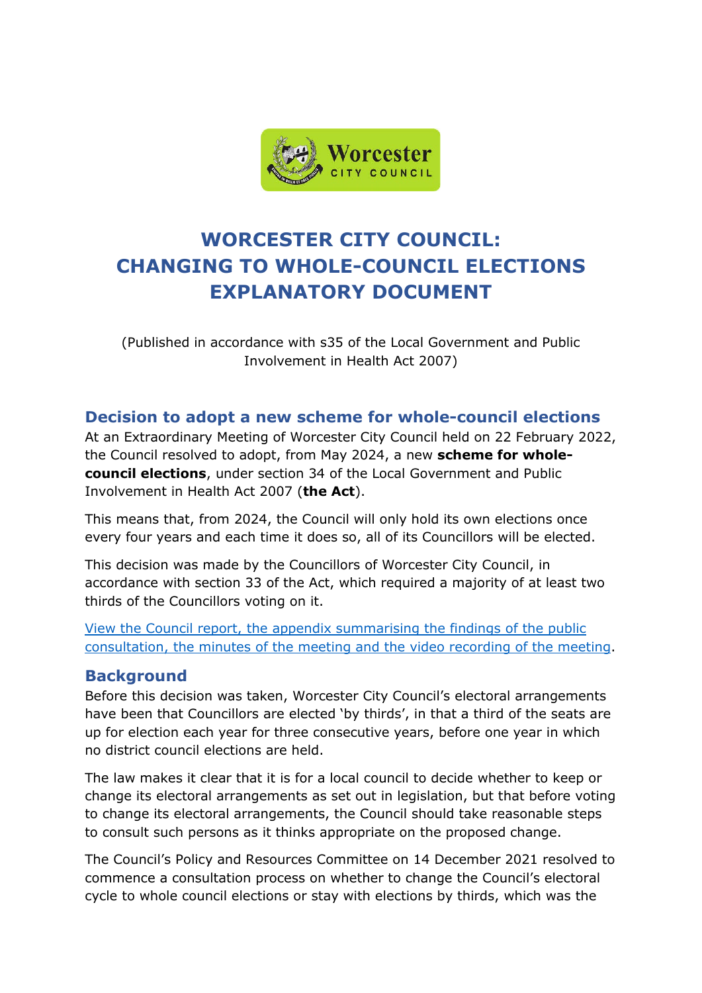

## **WORCESTER CITY COUNCIL: CHANGING TO WHOLE-COUNCIL ELECTIONS EXPLANATORY DOCUMENT**

(Published in accordance with s35 of the Local Government and Public Involvement in Health Act 2007)

## **Decision to adopt a new scheme for whole-council elections**

At an Extraordinary Meeting of Worcester City Council held on 22 February 2022, the Council resolved to adopt, from May 2024, a new **scheme for wholecouncil elections**, under section 34 of the Local Government and Public Involvement in Health Act 2007 (**the Act**).

This means that, from 2024, the Council will only hold its own elections once every four years and each time it does so, all of its Councillors will be elected.

This decision was made by the Councillors of Worcester City Council, in accordance with section 33 of the Act, which required a majority of at least two thirds of the Councillors voting on it.

[View the Council report, the appendix summarising the findings of the public](http://committee.worcester.gov.uk/ieListDocuments.aspx?CId=111&MId=5232)  [consultation, the minutes of the meeting and the video recording of the meeting.](http://committee.worcester.gov.uk/ieListDocuments.aspx?CId=111&MId=5232)

## **Background**

Before this decision was taken, Worcester City Council's electoral arrangements have been that Councillors are elected 'by thirds', in that a third of the seats are up for election each year for three consecutive years, before one year in which no district council elections are held.

The law makes it clear that it is for a local council to decide whether to keep or change its electoral arrangements as set out in legislation, but that before voting to change its electoral arrangements, the Council should take reasonable steps to consult such persons as it thinks appropriate on the proposed change.

The Council's Policy and Resources Committee on 14 December 2021 resolved to commence a consultation process on whether to change the Council's electoral cycle to whole council elections or stay with elections by thirds, which was the